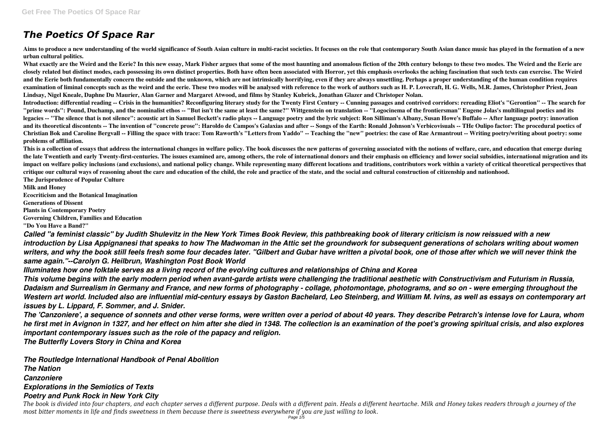## *The Poetics Of Space Rar*

**Aims to produce a new understanding of the world significance of South Asian culture in multi-racist societies. It focuses on the role that contemporary South Asian dance music has played in the formation of a new urban cultural politics.**

**What exactly are the Weird and the Eerie? In this new essay, Mark Fisher argues that some of the most haunting and anomalous fiction of the 20th century belongs to these two modes. The Weird and the Eerie are closely related but distinct modes, each possessing its own distinct properties. Both have often been associated with Horror, yet this emphasis overlooks the aching fascination that such texts can exercise. The Weird and the Eerie both fundamentally concern the outside and the unknown, which are not intrinsically horrifying, even if they are always unsettling. Perhaps a proper understanding of the human condition requires examination of liminal concepts such as the weird and the eerie. These two modes will be analysed with reference to the work of authors such as H. P. Lovecraft, H. G. Wells, M.R. James, Christopher Priest, Joan Lindsay, Nigel Kneale, Daphne Du Maurier, Alan Garner and Margaret Atwood, and films by Stanley Kubrick, Jonathan Glazer and Christoper Nolan.**

**Introduction: differential reading -- Crisis in the humanities? Reconfiguring literary study for the Twenty First Century -- Cunning passages and contrived corridors: rereading Eliot's "Gerontion" -- The search for "prime words": Pound, Duchamp, and the nominalist ethos -- "But isn't the same at least the same?" Wittgenstein on translation -- "Logocinema of the frontiersman" Eugene Jolas's multilingual poetics and its legacies -- "The silence that is not silence": acoustic art in Samuel Beckett's radio plays -- Language poetry and the lyric subject: Ron Silliman's Albany, Susan Howe's Buffalo -- After language poetry: innovation and its theoretical discontents -- The invention of "concrete prose": Haroldo de Campos's Galaxias and after -- Songs of the Earth: Ronald Johnson's Verbicovisuals -- THe Oulipo factor: The procedural poetics of Christian Bok and Caroline Bergvall -- Filling the space with trace: Tom Raworth's "Letters from Yaddo" -- Teaching the "new" poetries: the case of Rae Armantrout -- Writing poetry/writing about poetry: some problems of affiliation.**

**This is a collection of essays that address the international changes in welfare policy. The book discusses the new patterns of governing associated with the notions of welfare, care, and education that emerge during the late Twentieth and early Twenty-first-centuries. The issues examined are, among others, the role of international donors and their emphasis on efficiency and lower social subsidies, international migration and its** impact on welfare policy inclusions (and exclusions), and national policy change. While representing many different locations and traditions, contributors work within a variety of critical theoretical perspectives that **critique our cultural ways of reasoning about the care and education of the child, the role and practice of the state, and the social and cultural construction of citizenship and nationhood. The Jurisprudence of Popular Culture**

**Milk and Honey Ecocriticism and the Botanical Imagination Generations of Dissent Plants in Contemporary Poetry Governing Children, Families and Education**

**"Do You Have a Band?"**

*Called "a feminist classic" by Judith Shulevitz in the New York Times Book Review, this pathbreaking book of literary criticism is now reissued with a new introduction by Lisa Appignanesi that speaks to how The Madwoman in the Attic set the groundwork for subsequent generations of scholars writing about women writers, and why the book still feels fresh some four decades later. "Gilbert and Gubar have written a pivotal book, one of those after which we will never think the same again."--Carolyn G. Heilbrun, Washington Post Book World*

*Illuminates how one folktale serves as a living record of the evolving cultures and relationships of China and Korea*

*This volume begins with the early modern period when avant-garde artists were challenging the traditional aesthetic with Constructivism and Futurism in Russia, Dadaism and Surrealism in Germany and France, and new forms of photography - collage, photomontage, photograms, and so on - were emerging throughout the Western art world. Included also are influential mid-century essays by Gaston Bachelard, Leo Steinberg, and William M. Ivins, as well as essays on contemporary art issues by L. Lippard, F. Sommer, and J. Snider.*

*The 'Canzoniere', a sequence of sonnets and other verse forms, were written over a period of about 40 years. They describe Petrarch's intense love for Laura, whom he first met in Avignon in 1327, and her effect on him after she died in 1348. The collection is an examination of the poet's growing spiritual crisis, and also explores important contemporary issues such as the role of the papacy and religion.*

*The Butterfly Lovers Story in China and Korea*

*The Routledge International Handbook of Penal Abolition*

*The Nation Canzoniere Explorations in the Semiotics of Texts Poetry and Punk Rock in New York City*

*The book is divided into four chapters, and each chapter serves a different purpose. Deals with a different pain. Heals a different heartache. Milk and Honey takes readers through a journey of the most bitter moments in life and finds sweetness in them because there is sweetness everywhere if you are just willing to look.*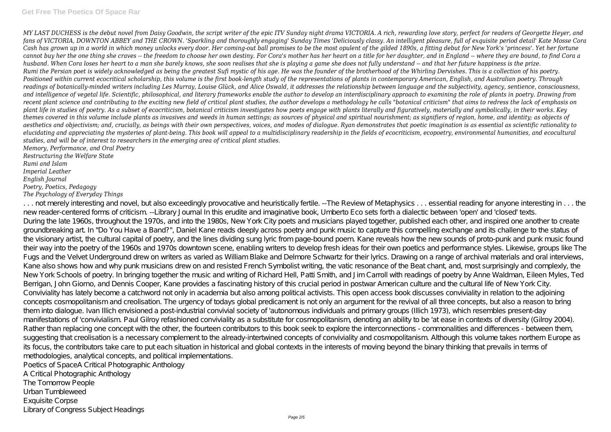*MY LAST DUCHESS is the debut novel from Daisy Goodwin, the script writer of the epic ITV Sunday night drama VICTORIA. A rich, rewarding love story, perfect for readers of Georgette Heyer, and fans of VICTORIA, DOWNTON ABBEY and THE CROWN. 'Sparkling and thoroughly engaging' Sunday Times 'Deliciously classy. An intelligent pleasure, full of exquisite period detail' Kate Mosse Cora Cash has grown up in a world in which money unlocks every door. Her coming-out ball promises to be the most opulent of the gilded 1890s, a fitting debut for New York's 'princess'. Yet her fortune cannot buy her the one thing she craves -- the freedom to choose her own destiny. For Cora's mother has her heart on a title for her daughter, and in England -- where they are bound, to find Cora a husband. When Cora loses her heart to a man she barely knows, she soon realises that she is playing a game she does not fully understand -- and that her future happiness is the prize. Rumi the Persian poet is widely acknowledged as being the greatest Sufi mystic of his age. He was the founder of the brotherhood of the Whirling Dervishes. This is a collection of his poetry. Positioned within current ecocritical scholarship, this volume is the first book-length study of the representations of plants in contemporary American, English, and Australian poetry. Through readings of botanically-minded writers including Les Murray, Louise Glück, and Alice Oswald, it addresses the relationship between language and the subjectivity, agency, sentience, consciousness, and intelligence of vegetal life. Scientific, philosophical, and literary frameworks enable the author to develop an interdisciplinary approach to examining the role of plants in poetry. Drawing from recent plant science and contributing to the exciting new field of critical plant studies, the author develops a methodology he calls "botanical criticism" that aims to redress the lack of emphasis on plant life in studies of poetry. As a subset of ecocriticism, botanical criticism investigates how poets engage with plants literally and figuratively, materially and symbolically, in their works. Key themes covered in this volume include plants as invasives and weeds in human settings; as sources of physical and spiritual nourishment; as signifiers of region, home, and identity; as objects of aesthetics and objectivism; and, crucially, as beings with their own perspectives, voices, and modes of dialogue. Ryan demonstrates that poetic imagination is as essential as scientific rationality to elucidating and appreciating the mysteries of plant-being. This book will appeal to a multidisciplinary readership in the fields of ecocriticism, ecopoetry, environmental humanities, and ecocultural studies, and will be of interest to researchers in the emerging area of critical plant studies.*

*Memory, Performance, and Oral Poetry Restructuring the Welfare State Rumi and Islam Imperial Leather English Journal Poetry, Poetics, Pedagogy The Psychology of Everyday Things*

... not merely interesting and novel, but also exceedingly provocative and heuristically fertile. --The Review of Metaphysics ... essential reading for anyone interesting in ... the new reader-centered forms of criticism. --Library Journal In this erudite and imaginative book, Umberto Eco sets forth a dialectic between 'open' and 'closed' texts. During the late 1960s, throughout the 1970s, and into the 1980s, New York City poets and musicians played together, published each other, and inspired one another to create groundbreaking art. In "Do You Have a Band?", Daniel Kane reads deeply across poetry and punk music to capture this compelling exchange and its challenge to the status of the visionary artist, the cultural capital of poetry, and the lines dividing sung lyric from page-bound poem. Kane reveals how the new sounds of proto-punk and punk music found their way into the poetry of the 1960s and 1970s downtown scene, enabling writers to develop fresh ideas for their own poetics and performance styles. Likewise, groups like The Fugs and the Velvet Underground drew on writers as varied as William Blake and Delmore Schwartz for their lyrics. Drawing on a range of archival materials and oral interviews, Kane also shows how and why punk musicians drew on and resisted French Symbolist writing, the vatic resonance of the Beat chant, and, most surprisingly and complexly, the New York Schools of poetry. In bringing together the music and writing of Richard Hell, Patti Smith, and Jim Carroll with readings of poetry by Anne Waldman, Eileen Myles, Ted Berrigan, John Giorno, and Dennis Cooper, Kane provides a fascinating history of this crucial period in postwar American culture and the cultural life of New York City. Conviviality has lately become a catchword not only in academia but also among political activists. This open access book discusses conviviality in relation to the adjoining concepts cosmopolitanism and creolisation. The urgency of todays global predicament is not only an argument for the revival of all three concepts, but also a reason to bring them into dialogue. Ivan Illich envisioned a post-industrial convivial society of 'autonomous individuals and primary groups (Illich 1973), which resembles present-day manifestations of 'convivialism. Paul Gilroy refashioned conviviality as a substitute for cosmopolitanism, denoting an ability to be 'at ease in contexts of diversity (Gilroy 2004). Rather than replacing one concept with the other, the fourteen contributors to this book seek to explore the interconnections - commonalities and differences - between them, suggesting that creolisation is a necessary complement to the already-intertwined concepts of conviviality and cosmopolitanism. Although this volume takes northern Europe as its focus, the contributors take care to put each situation in historical and global contexts in the interests of moving beyond the binary thinking that prevails in terms of methodologies, analytical concepts, and political implementations. Poetics of SpaceA Critical Photographic Anthology A Critical Photographic Anthology

The Tomorrow People Urban Tumbleweed

Exquisite Corpse

Library of Congress Subject Headings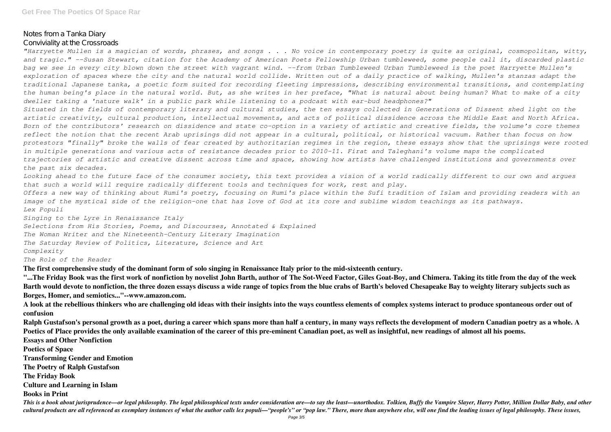Notes from a Tanka Diary

Conviviality at the Crossroads

*"Harryette Mullen is a magician of words, phrases, and songs . . . No voice in contemporary poetry is quite as original, cosmopolitan, witty, and tragic." --Susan Stewart, citation for the Academy of American Poets Fellowship Urban tumbleweed, some people call it, discarded plastic bag we see in every city blown down the street with vagrant wind. --from Urban Tumbleweed Urban Tumbleweed is the poet Harryette Mullen's exploration of spaces where the city and the natural world collide. Written out of a daily practice of walking, Mullen's stanzas adapt the traditional Japanese tanka, a poetic form suited for recording fleeting impressions, describing environmental transitions, and contemplating the human being's place in the natural world. But, as she writes in her preface, "What is natural about being human? What to make of a city dweller taking a 'nature walk' in a public park while listening to a podcast with ear-bud headphones?" Situated in the fields of contemporary literary and cultural studies, the ten essays collected in Generations of Dissent shed light on the artistic creativity, cultural production, intellectual movements, and acts of political dissidence across the Middle East and North Africa. Born of the contributors' research on dissidence and state co-option in a variety of artistic and creative fields, the volume's core themes reflect the notion that the recent Arab uprisings did not appear in a cultural, political, or historical vacuum. Rather than focus on how protestors "finally" broke the walls of fear created by authoritarian regimes in the region, these essays show that the uprisings were rooted in multiple generations and various acts of resistance decades prior to 2010–11. Firat and Taleghani's volume maps the complicated trajectories of artistic and creative dissent across time and space, showing how artists have challenged institutions and governments over the past six decades.*

*Looking ahead to the future face of the consumer society, this text provides a vision of a world radically different to our own and argues that such a world will require radically different tools and techniques for work, rest and play.*

*Offers a new way of thinking about Rumi's poetry, focusing on Rumi's place within the Sufi tradition of Islam and providing readers with an image of the mystical side of the religion-one that has love of God at its core and sublime wisdom teachings as its pathways. Lex Populi*

*Singing to the Lyre in Renaissance Italy Selections from His Stories, Poems, and Discourses, Annotated & Explained*

*The Woman Writer and the Nineteenth-Century Literary Imagination The Saturday Review of Politics, Literature, Science and Art Complexity*

*The Role of the Reader*

**The first comprehensive study of the dominant form of solo singing in Renaissance Italy prior to the mid-sixteenth century.**

**"...The Friday Book was the first work of nonfiction by novelist John Barth, author of The Sot-Weed Factor, Giles Goat-Boy, and Chimera. Taking its title from the day of the week Barth would devote to nonfiction, the three dozen essays discuss a wide range of topics from the blue crabs of Barth's beloved Chesapeake Bay to weighty literary subjects such as Borges, Homer, and semiotics..."--www.amazon.com.**

**A look at the rebellious thinkers who are challenging old ideas with their insights into the ways countless elements of complex systems interact to produce spontaneous order out of confusion**

**Ralph Gustafson's personal growth as a poet, during a career which spans more than half a century, in many ways reflects the development of modern Canadian poetry as a whole. A Poetics of Place provides the only available examination of the career of this pre-eminent Canadian poet, as well as insightful, new readings of almost all his poems. Essays and Other Nonfiction**

**Poetics of Space**

**Transforming Gender and Emotion**

**The Poetry of Ralph Gustafson**

**The Friday Book**

**Culture and Learning in Islam**

**Books in Print**

This is a book about jurisprudence—or legal philosophy. The legal philosophical texts under consideration are—to say the least—unorthodox. Tolkien, Buffy the Vampire Slayer, Harry Potter, Million Dollar Baby, and other cultural products are all referenced as exemplary instances of what the author calls lex populi—"people's" or "pop law." There, more than anywhere else, will one find the leading issues of legal philosophy. These issues,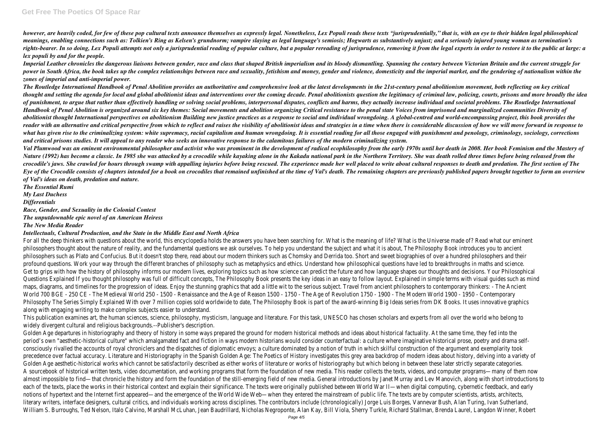however, are heavily coded, for few of these pop cultural texts announce themselves as expressly legal. Nonetheless, Lex Populi reads these texts "jurisprudentially," that is, with an eve to their hidden legal philosophica *meanings, enabling connections such as: Tolkien's Ring as Kelsen's grundnorm; vampire slaying as legal language's semiosis; Hogwarts as substantively unjust; and a seriously injured young woman as termination's* rights-bearer. In so doing, Lex Populi attempts not only a jurisprudential reading of popular and popular rereading of jurisprudence, removing it from the legal experts in order to restore it to the public at large: a *lex populi by and for the people.*

*Imperial Leather chronicles the dangerous liaisons between gender, race and class that shaped British imperialism and its bloody dismantling. Spanning the century between Victorian Britain and the current struggle for power in South Africa, the book takes up the complex relationships between race and sexuality, fetishism and money, gender and violence, domesticity and the imperial market, and the gendering of nationalism within the zones of imperial and anti-imperial power.*

*The Routledge International Handbook of Penal Abolition provides an authoritative and comprehensive look at the latest developments in the 21st-century penal abolitionism movement, both reflecting on key critical* thought and setting the agenda for local and global abolitionist ideas and interventions over the coming decade. Penal abolitionists question the legitimacy of criminal law, policing, courts, prisons and more broadly the i of punishment, to argue that rather than effectively handling or solving social problems, interpersonal disputes, conflicts and harms, they actually increase individual and societal problems. The Routledge International *Handbook of Penal Abolition is organized around six key themes: Social movements and abolition organizing Critical resistance to the penal state Voices from imprisoned and marginalized communities Diversity of abolitionist thought International perspectives on abolitionism Building new justice practices as a response to social and individual wrongdoing. A global-centred and world-encompassing project, this book provides the* reader with an alternative and critical perspective from which to reflect and raises the visibility of abolitionist ideas and strategies in a time when there is considerable discussion of how we will move forward in respon *what has given rise to the criminalizing system: white supremacy, racial capitalism and human wrongdoing. It is essential reading for all those engaged with punishment and penology, criminology, sociology, corrections and critical prisons studies. It will appeal to any reader who seeks an innovative response to the calamitous failures of the modern criminalizing system.*

For all the deep thinkers with questions about the world, this encyclopedia holds the answers you have been searching for. What is the meaning of life? What is the Universe made of? Read what our eminent philosophers thought about the nature of reality, and the fundamental questions we ask ourselves. To help you understand the subject and what it is about, The Philosophy Book introduces you to ancient philosophers such as Plato and Confucius. But it doesn't stop there, read about our modern thinkers such as Chomsky and Derrida too. Short and sweet biographies of over a hundred philosophers and their profound questions. Work your way through the different branches of philosophy such as metaphysics and ethics. Understand how philosophical questions have led to breakthroughs in maths and science. Get to grips with how the history of philosophy informs our modern lives, exploring topics such as how science can predict the future and how language shapes our thoughts and decisions. Your Philosophical Questions Explained If you thought philosophy was full of difficult concepts, The Philosophy Book presents the key ideas in an easy to follow layout. Explained in simple terms with visual guides such as mind maps, diagrams, and timelines for the progression of ideas. Enjoy the stunning graphics that add a little wit to the serious subject. Travel from ancient philosophers to contemporary thinkers: - The Ancient World 700 BGE - 250 CE - The Medieval World 250 - 1500 - Renaissance and the Age of Reason 1500 - The Age of Revolution 1750 - 1900 - The Modern World 1900 - 1950 - Contemporary Philosophy The Series Simply Explained With over 7 million copies sold worldwide to date, The Philosophy Book is part of the award-winning Big Ideas series from DK Books. It uses innovative graphics along with engaging writing to make complex subjects easier to understand.

*Val Plumwood was an eminent environmental philosopher and activist who was prominent in the development of radical ecophilosophy from the early 1970s until her death in 2008. Her book Feminism and the Mastery of Nature (1992) has become a classic. In 1985 she was attacked by a crocodile while kayaking alone in the Kakadu national park in the Northern Territory. She was death rolled three times before being released from the* crocodile's jaws. She crawled for hours through swamp with appalling injuries before being rescued. The experience made her well placed to write about cultural responses to death and predation. The first section of The Eve of the Crocodile consists of chapters intended for a book on crocodiles that remained unfinished at the time of Val's death. The remaining chapters are previously published papers brought together to form an overview *of Val's ideas on death, predation and nature.*

*The Essential Rumi My Last Duchess Differentials Race, Gender, and Sexuality in the Colonial Contest The unputdownable epic novel of an American Heiress The New Media Reader*

## *Intellectuals, Cultural Production, and the State in the Middle East and North Africa*

This publication examines art, the human sciences, science, philosophy, mysticism, language and literature. For this task, UNESCO has chosen scholars and experts from all over the world who belong to widely divergent cultural and religious backgrounds.--Publisher's description.

Golden Age departures in historiography and theory of history in some ways prepared the ground for modern historical methods and ideas about historical factuality. At the same time, they fed into the period's own "aesthetic-historical culture" which amalgamated fact and fiction in ways modern historians would consider counterfactual: a culture where imaginative historical prose, poetry and drama selfconsciously rivalled the accounts of royal chroniclers and the dispatches of diplomatic envoys; a culture dominated by a notion of truth in which skilful construction of the argument and exemplarity took precedence over factual accuracy. Literature and Historiography in the Spanish Golden Age: The Poetics of History investigates this grey area backdrop of modern ideas about history, delving into a variety of Golden Age aesthetic-historical works which cannot be satisfactorily described as either works of literature or works of historiography but which belong in between these later strictly separate categories. A sourcebook of historical written texts, video documentation, and working programs that form the foundation of new media. This reader collects the texts, videos, and computer programs—many of them now almost impossible to find—that chronicle the history and form the foundation of the still-emerging field of new media. General introductions by Janet Murray and Lev Manovich, along with short introductions to each of the texts, place the works in their historical context and explain their significance. The texts were originally published between World War II—when digital computing, cybernetic feedback, and early notions of hypertext and the Internet first appeared—and the emergence of the World Wide Web—when they entered the mainstream of public life. The texts are by computer scientists, artists, architects, literary writers, interface designers, cultural critics, and individuals working across disciplines. The contributors include (chronologically) Jorge Luis Borges, Vannevar Bush, Alan Turing, Ivan Sutherland, William S. Burroughs, Ted Nelson, Italo Calvino, Marshall McLuhan, Jean Baudrillard, Nicholas Negroponte, Alan Kay, Bill Viola, Sherry Turkle, Richard Stallman, Brenda Laurel, Langdon Winner, Robert